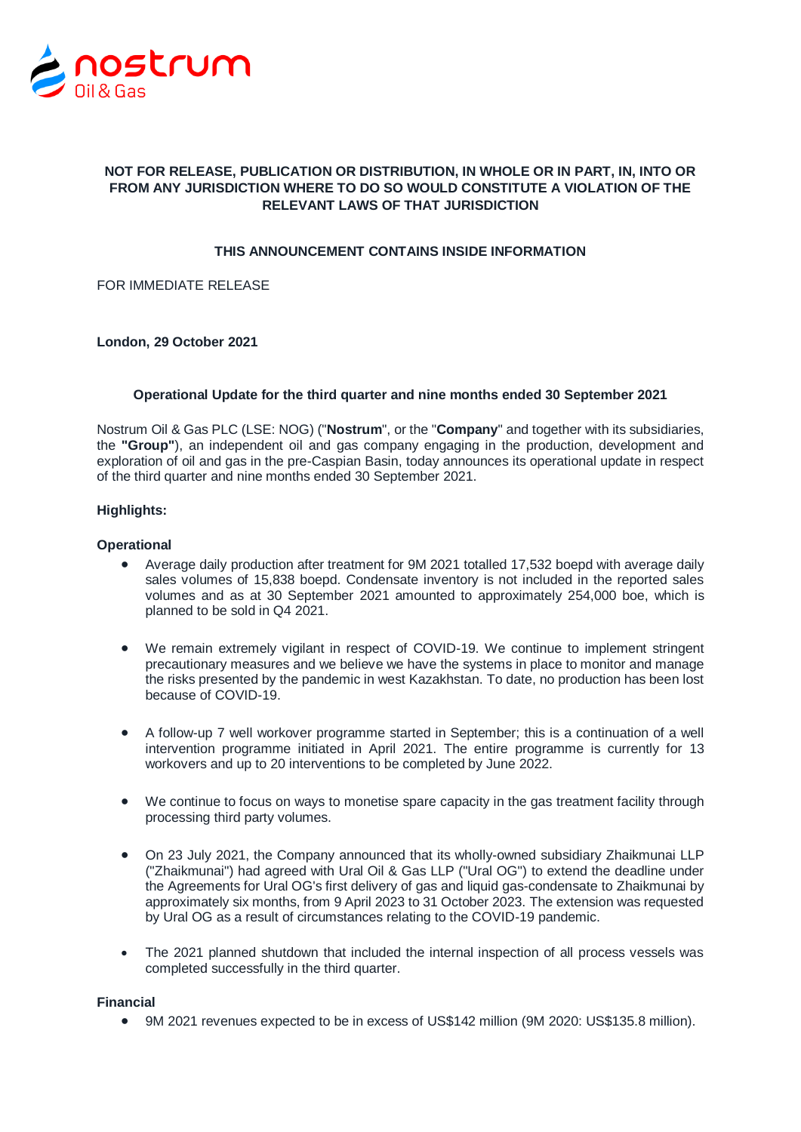

# **NOT FOR RELEASE, PUBLICATION OR DISTRIBUTION, IN WHOLE OR IN PART, IN, INTO OR FROM ANY JURISDICTION WHERE TO DO SO WOULD CONSTITUTE A VIOLATION OF THE RELEVANT LAWS OF THAT JURISDICTION**

# **THIS ANNOUNCEMENT CONTAINS INSIDE INFORMATION**

FOR IMMEDIATE RELEASE

### **London, 29 October 2021**

### **Operational Update for the third quarter and nine months ended 30 September 2021**

Nostrum Oil & Gas PLC (LSE: NOG) ("**Nostrum**", or the "**Company**" and together with its subsidiaries, the **"Group"**), an independent oil and gas company engaging in the production, development and exploration of oil and gas in the pre-Caspian Basin, today announces its operational update in respect of the third quarter and nine months ended 30 September 2021.

### **Highlights:**

### **Operational**

- Average daily production after treatment for 9M 2021 totalled 17,532 boepd with average daily sales volumes of 15,838 boepd. Condensate inventory is not included in the reported sales volumes and as at 30 September 2021 amounted to approximately 254,000 boe, which is planned to be sold in Q4 2021.
- We remain extremely vigilant in respect of COVID-19. We continue to implement stringent precautionary measures and we believe we have the systems in place to monitor and manage the risks presented by the pandemic in west Kazakhstan. To date, no production has been lost because of COVID-19.
- A follow-up 7 well workover programme started in September; this is a continuation of a well intervention programme initiated in April 2021. The entire programme is currently for 13 workovers and up to 20 interventions to be completed by June 2022.
- We continue to focus on ways to monetise spare capacity in the gas treatment facility through processing third party volumes.
- On 23 July 2021, the Company announced that its wholly-owned subsidiary Zhaikmunai LLP ("Zhaikmunai") had agreed with Ural Oil & Gas LLP ("Ural OG") to extend the deadline under the Agreements for Ural OG's first delivery of gas and liquid gas-condensate to Zhaikmunai by approximately six months, from 9 April 2023 to 31 October 2023. The extension was requested by Ural OG as a result of circumstances relating to the COVID-19 pandemic.
- The 2021 planned shutdown that included the internal inspection of all process vessels was completed successfully in the third quarter.

### **Financial**

9M 2021 revenues expected to be in excess of US\$142 million (9M 2020: US\$135.8 million).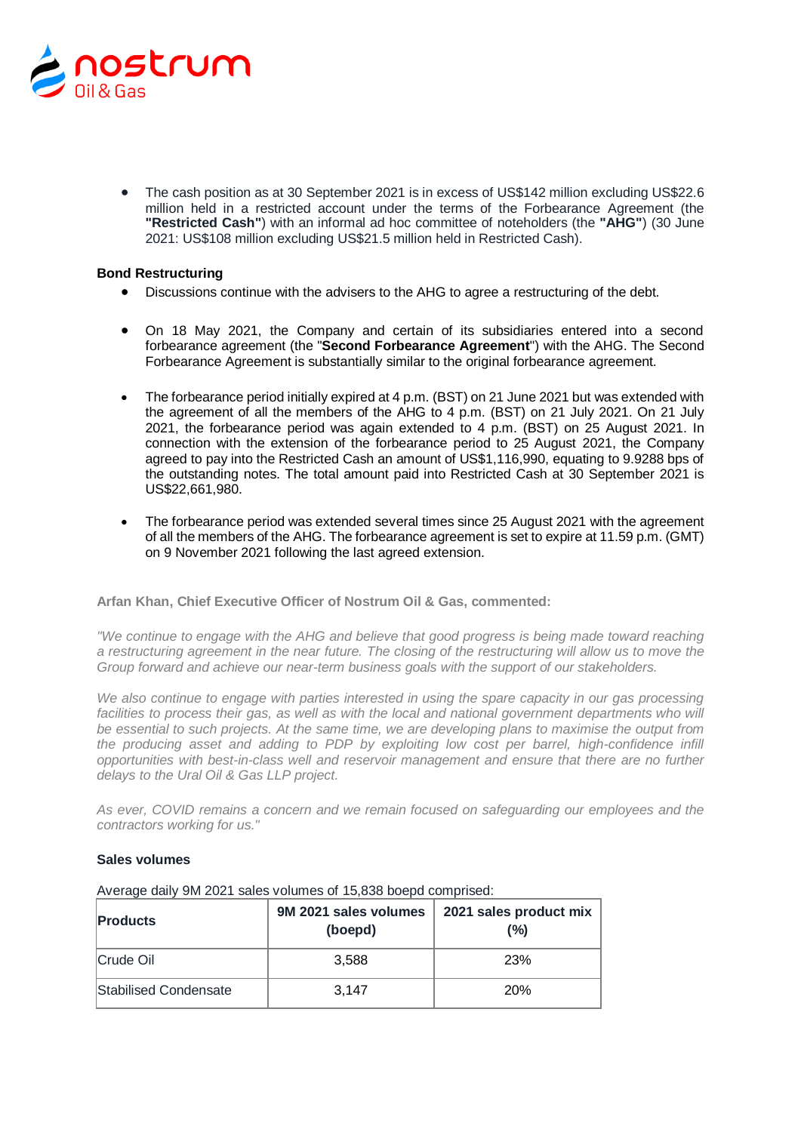

 The cash position as at 30 September 2021 is in excess of US\$142 million excluding US\$22.6 million held in a restricted account under the terms of the Forbearance Agreement (the **"Restricted Cash"**) with an informal ad hoc committee of noteholders (the **"AHG"**) (30 June 2021: US\$108 million excluding US\$21.5 million held in Restricted Cash).

## **Bond Restructuring**

- Discussions continue with the advisers to the AHG to agree a restructuring of the debt.
- On 18 May 2021, the Company and certain of its subsidiaries entered into a second forbearance agreement (the "**Second Forbearance Agreement**") with the AHG. The Second Forbearance Agreement is substantially similar to the original forbearance agreement.
- The forbearance period initially expired at 4 p.m. (BST) on 21 June 2021 but was extended with the agreement of all the members of the AHG to 4 p.m. (BST) on 21 July 2021. On 21 July 2021, the forbearance period was again extended to 4 p.m. (BST) on 25 August 2021. In connection with the extension of the forbearance period to 25 August 2021, the Company agreed to pay into the Restricted Cash an amount of US\$1,116,990, equating to 9.9288 bps of the outstanding notes. The total amount paid into Restricted Cash at 30 September 2021 is US\$22,661,980.
- The forbearance period was extended several times since 25 August 2021 with the agreement of all the members of the AHG. The forbearance agreement is set to expire at 11.59 p.m. (GMT) on 9 November 2021 following the last agreed extension.

### **Arfan Khan, Chief Executive Officer of Nostrum Oil & Gas, commented:**

*"We continue to engage with the AHG and believe that good progress is being made toward reaching a restructuring agreement in the near future. The closing of the restructuring will allow us to move the Group forward and achieve our near-term business goals with the support of our stakeholders.* 

*We also continue to engage with parties interested in using the spare capacity in our gas processing facilities to process their gas, as well as with the local and national government departments who will be essential to such projects. At the same time, we are developing plans to maximise the output from the producing asset and adding to PDP by exploiting low cost per barrel, high-confidence infill opportunities with best-in-class well and reservoir management and ensure that there are no further delays to the Ural Oil & Gas LLP project.*

*As ever, COVID remains a concern and we remain focused on safeguarding our employees and the contractors working for us."*

### **Sales volumes**

| <b>Products</b>       | 9M 2021 sales volumes<br>(boepd) | 2021 sales product mix<br>(%) |
|-----------------------|----------------------------------|-------------------------------|
| Crude Oil             | 3.588                            | <b>23%</b>                    |
| Stabilised Condensate | 3.147                            | <b>20%</b>                    |

Average daily 9M 2021 sales volumes of 15,838 boepd comprised: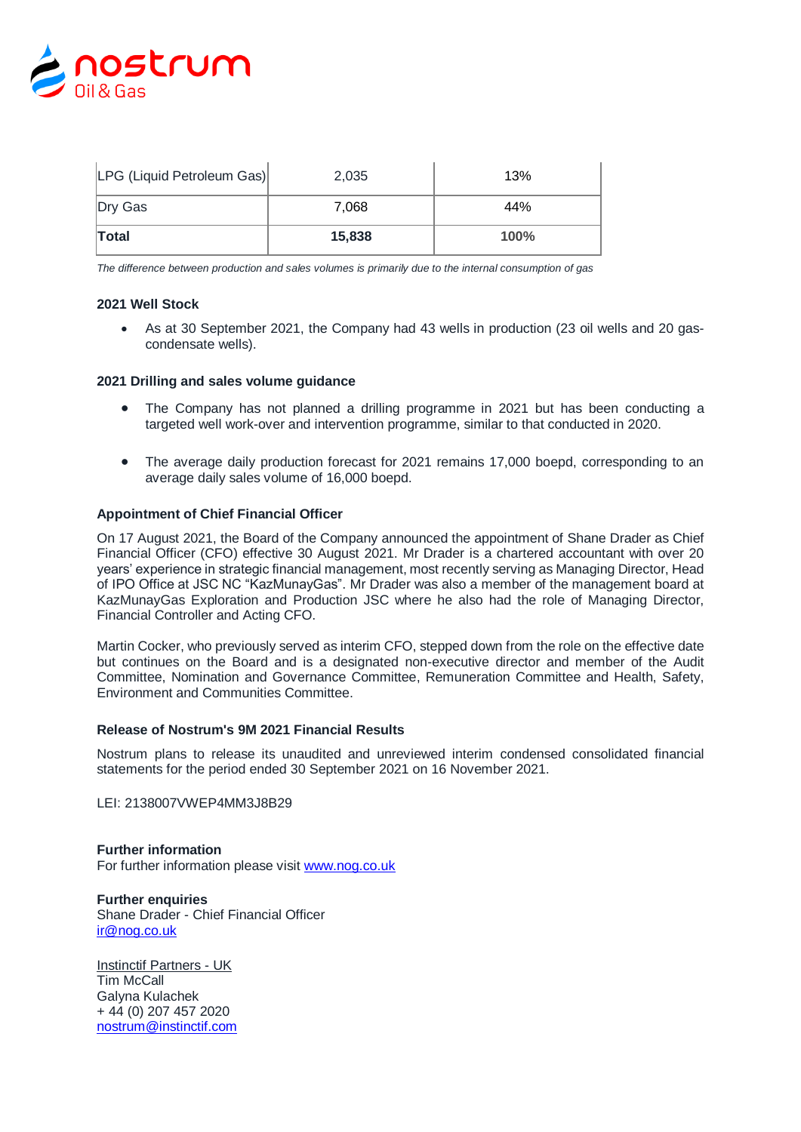

| LPG (Liquid Petroleum Gas) | 2,035  | 13%  |
|----------------------------|--------|------|
| Dry Gas                    | 7.068  | 44%  |
| <b>Total</b>               | 15,838 | 100% |

*The difference between production and sales volumes is primarily due to the internal consumption of gas*

### **2021 Well Stock**

 As at 30 September 2021, the Company had 43 wells in production (23 oil wells and 20 gascondensate wells).

### **2021 Drilling and sales volume guidance**

- The Company has not planned a drilling programme in 2021 but has been conducting a targeted well work-over and intervention programme, similar to that conducted in 2020.
- The average daily production forecast for 2021 remains 17,000 boepd, corresponding to an average daily sales volume of 16,000 boepd.

#### **Appointment of Chief Financial Officer**

On 17 August 2021, the Board of the Company announced the appointment of Shane Drader as Chief Financial Officer (CFO) effective 30 August 2021. Mr Drader is a chartered accountant with over 20 years' experience in strategic financial management, most recently serving as Managing Director, Head of IPO Office at JSC NC "KazMunayGas". Mr Drader was also a member of the management board at KazMunayGas Exploration and Production JSC where he also had the role of Managing Director, Financial Controller and Acting CFO.

Martin Cocker, who previously served as interim CFO, stepped down from the role on the effective date but continues on the Board and is a designated non-executive director and member of the Audit Committee, Nomination and Governance Committee, Remuneration Committee and Health, Safety, Environment and Communities Committee.

#### **Release of Nostrum's 9M 2021 Financial Results**

Nostrum plans to release its unaudited and unreviewed interim condensed consolidated financial statements for the period ended 30 September 2021 on 16 November 2021.

LEI: 2138007VWEP4MM3J8B29

**Further information** For further information please visit [www.nog.co.uk](http://www.nog.co.uk/)

**Further enquiries** Shane Drader - Chief Financial Officer [ir@nog.co.uk](mailto:ir@nog.co.uk) 

Instinctif Partners - UK Tim McCall Galyna Kulachek + 44 (0) 207 457 2020 nostrum@instinctif.com